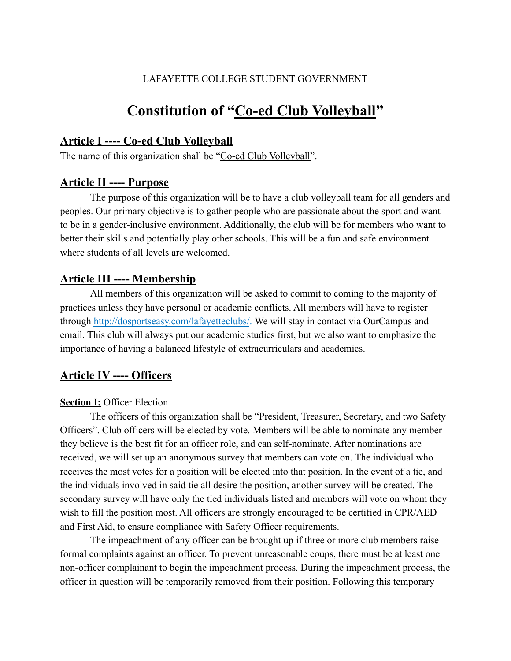### LAFAYETTE COLLEGE STUDENT GOVERNMENT

# **Constitution of "Co-ed Club Volleyball"**

## **Article I ---- Co-ed Club Volleyball**

The name of this organization shall be "Co-ed Club Volleyball".

### **Article II ---- Purpose**

The purpose of this organization will be to have a club volleyball team for all genders and peoples. Our primary objective is to gather people who are passionate about the sport and want to be in a gender-inclusive environment. Additionally, the club will be for members who want to better their skills and potentially play other schools. This will be a fun and safe environment where students of all levels are welcomed.

### **Article III ---- Membership**

All members of this organization will be asked to commit to coming to the majority of practices unless they have personal or academic conflicts. All members will have to register through <http://dosportseasy.com/lafayetteclubs/>. We will stay in contact via OurCampus and email. This club will always put our academic studies first, but we also want to emphasize the importance of having a balanced lifestyle of extracurriculars and academics.

# **Article IV ---- Officers**

#### **Section I:** Officer Election

The officers of this organization shall be "President, Treasurer, Secretary, and two Safety Officers". Club officers will be elected by vote. Members will be able to nominate any member they believe is the best fit for an officer role, and can self-nominate. After nominations are received, we will set up an anonymous survey that members can vote on. The individual who receives the most votes for a position will be elected into that position. In the event of a tie, and the individuals involved in said tie all desire the position, another survey will be created. The secondary survey will have only the tied individuals listed and members will vote on whom they wish to fill the position most. All officers are strongly encouraged to be certified in CPR/AED and First Aid, to ensure compliance with Safety Officer requirements.

The impeachment of any officer can be brought up if three or more club members raise formal complaints against an officer. To prevent unreasonable coups, there must be at least one non-officer complainant to begin the impeachment process. During the impeachment process, the officer in question will be temporarily removed from their position. Following this temporary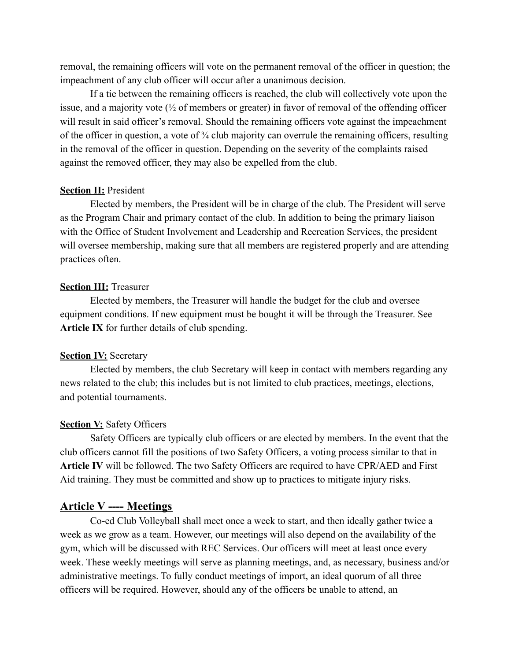removal, the remaining officers will vote on the permanent removal of the officer in question; the impeachment of any club officer will occur after a unanimous decision.

If a tie between the remaining officers is reached, the club will collectively vote upon the issue, and a majority vote  $\frac{1}{2}$  of members or greater) in favor of removal of the offending officer will result in said officer's removal. Should the remaining officers vote against the impeachment of the officer in question, a vote of  $\frac{3}{4}$  club majority can overrule the remaining officers, resulting in the removal of the officer in question. Depending on the severity of the complaints raised against the removed officer, they may also be expelled from the club.

#### **Section II:** President

Elected by members, the President will be in charge of the club. The President will serve as the Program Chair and primary contact of the club. In addition to being the primary liaison with the Office of Student Involvement and Leadership and Recreation Services, the president will oversee membership, making sure that all members are registered properly and are attending practices often.

#### **Section III: Treasurer**

Elected by members, the Treasurer will handle the budget for the club and oversee equipment conditions. If new equipment must be bought it will be through the Treasurer. See **Article IX** for further details of club spending.

#### **Section IV: Secretary**

Elected by members, the club Secretary will keep in contact with members regarding any news related to the club; this includes but is not limited to club practices, meetings, elections, and potential tournaments.

#### **Section V:** Safety Officers

Safety Officers are typically club officers or are elected by members. In the event that the club officers cannot fill the positions of two Safety Officers, a voting process similar to that in **Article IV** will be followed. The two Safety Officers are required to have CPR/AED and First Aid training. They must be committed and show up to practices to mitigate injury risks.

#### **Article V ---- Meetings**

Co-ed Club Volleyball shall meet once a week to start, and then ideally gather twice a week as we grow as a team. However, our meetings will also depend on the availability of the gym, which will be discussed with REC Services. Our officers will meet at least once every week. These weekly meetings will serve as planning meetings, and, as necessary, business and/or administrative meetings. To fully conduct meetings of import, an ideal quorum of all three officers will be required. However, should any of the officers be unable to attend, an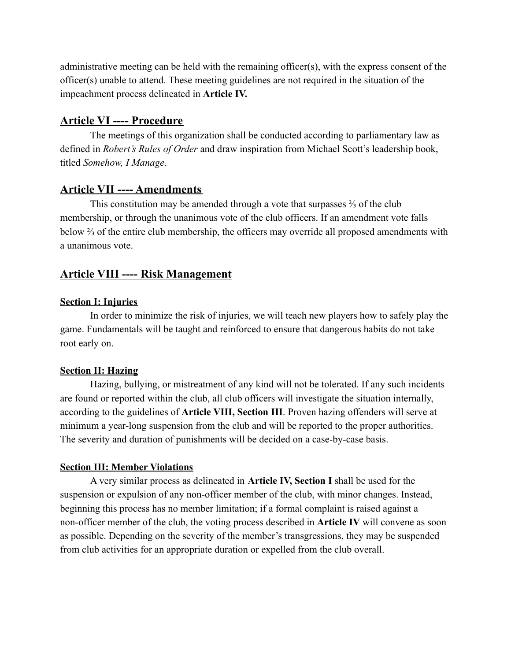administrative meeting can be held with the remaining officer(s), with the express consent of the officer(s) unable to attend. These meeting guidelines are not required in the situation of the impeachment process delineated in **Article IV.**

# **Article VI ---- Procedure**

The meetings of this organization shall be conducted according to parliamentary law as defined in *Robert's Rules of Order* and draw inspiration from Michael Scott's leadership book, titled *Somehow, I Manage*.

# **Article VII ---- Amendments**

This constitution may be amended through a vote that surpasses ⅔ of the club membership, or through the unanimous vote of the club officers. If an amendment vote falls below ⅔ of the entire club membership, the officers may override all proposed amendments with a unanimous vote.

# **Article VIII ---- Risk Management**

### **Section I: Injuries**

In order to minimize the risk of injuries, we will teach new players how to safely play the game. Fundamentals will be taught and reinforced to ensure that dangerous habits do not take root early on.

### **Section II: Hazing**

Hazing, bullying, or mistreatment of any kind will not be tolerated. If any such incidents are found or reported within the club, all club officers will investigate the situation internally, according to the guidelines of **Article VIII, Section III**. Proven hazing offenders will serve at minimum a year-long suspension from the club and will be reported to the proper authorities. The severity and duration of punishments will be decided on a case-by-case basis.

#### **Section III: Member Violations**

A very similar process as delineated in **Article IV, Section I** shall be used for the suspension or expulsion of any non-officer member of the club, with minor changes. Instead, beginning this process has no member limitation; if a formal complaint is raised against a non-officer member of the club, the voting process described in **Article IV** will convene as soon as possible. Depending on the severity of the member's transgressions, they may be suspended from club activities for an appropriate duration or expelled from the club overall.